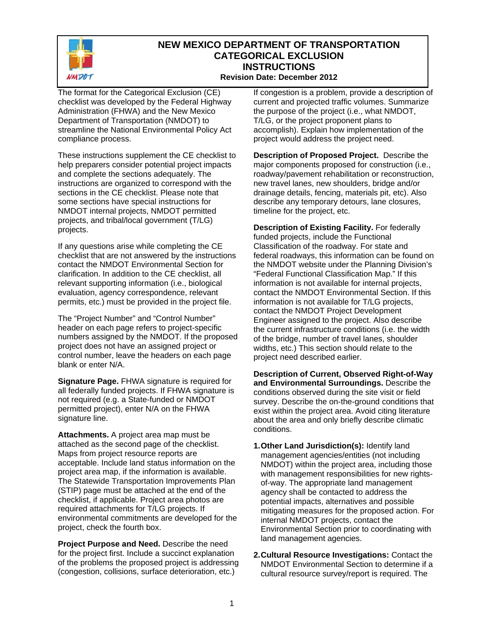

#### **NEW MEXICO DEPARTMENT OF TRANSPORTATION CATEGORICAL EXCLUSION INSTRUCTIONS Revision Date: December 2012**

The format for the Categorical Exclusion (CE) checklist was developed by the Federal Highway Administration (FHWA) and the New Mexico Department of Transportation (NMDOT) to streamline the National Environmental Policy Act compliance process.

These instructions supplement the CE checklist to help preparers consider potential project impacts and complete the sections adequately. The instructions are organized to correspond with the sections in the CE checklist. Please note that some sections have special instructions for NMDOT internal projects, NMDOT permitted projects, and tribal/local government (T/LG) projects.

If any questions arise while completing the CE checklist that are not answered by the instructions contact the NMDOT Environmental Section for clarification. In addition to the CE checklist, all relevant supporting information (i.e., biological evaluation, agency correspondence, relevant permits, etc.) must be provided in the project file.

The "Project Number" and "Control Number" header on each page refers to project-specific numbers assigned by the NMDOT. If the proposed project does not have an assigned project or control number, leave the headers on each page blank or enter N/A.

**Signature Page.** FHWA signature is required for all federally funded projects. If FHWA signature is not required (e.g. a State-funded or NMDOT permitted project), enter N/A on the FHWA signature line.

**Attachments.** A project area map must be attached as the second page of the checklist. Maps from project resource reports are acceptable. Include land status information on the project area map, if the information is available. The Statewide Transportation Improvements Plan (STIP) page must be attached at the end of the checklist, if applicable. Project area photos are required attachments for T/LG projects. If environmental commitments are developed for the project, check the fourth box.

**Project Purpose and Need.** Describe the need for the project first. Include a succinct explanation of the problems the proposed project is addressing (congestion, collisions, surface deterioration, etc.)

If congestion is a problem, provide a description of current and projected traffic volumes. Summarize the purpose of the project (i.e., what NMDOT, T/LG, or the project proponent plans to accomplish). Explain how implementation of the project would address the project need.

**Description of Proposed Project.** Describe the major components proposed for construction (i.e., roadway/pavement rehabilitation or reconstruction, new travel lanes, new shoulders, bridge and/or drainage details, fencing, materials pit, etc). Also describe any temporary detours, lane closures, timeline for the project, etc.

**Description of Existing Facility.** For federally funded projects, include the Functional Classification of the roadway. For state and federal roadways, this information can be found on the NMDOT website under the Planning Division's "Federal Functional Classification Map." If this information is not available for internal projects, contact the NMDOT Environmental Section. If this information is not available for T/LG projects, contact the NMDOT Project Development Engineer assigned to the project. Also describe the current infrastructure conditions (i.e. the width of the bridge, number of travel lanes, shoulder widths, etc.) This section should relate to the project need described earlier.

**Description of Current, Observed Right-of-Way and Environmental Surroundings.** Describe the conditions observed during the site visit or field survey. Describe the on-the-ground conditions that exist within the project area. Avoid citing literature about the area and only briefly describe climatic conditions.

- **1. Other Land Jurisdiction(s):** Identify land management agencies/entities (not including NMDOT) within the project area, including those with management responsibilities for new rightsof-way. The appropriate land management agency shall be contacted to address the potential impacts, alternatives and possible mitigating measures for the proposed action. For internal NMDOT projects, contact the Environmental Section prior to coordinating with land management agencies.
- **2. Cultural Resource Investigations:** Contact the NMDOT Environmental Section to determine if a cultural resource survey/report is required. The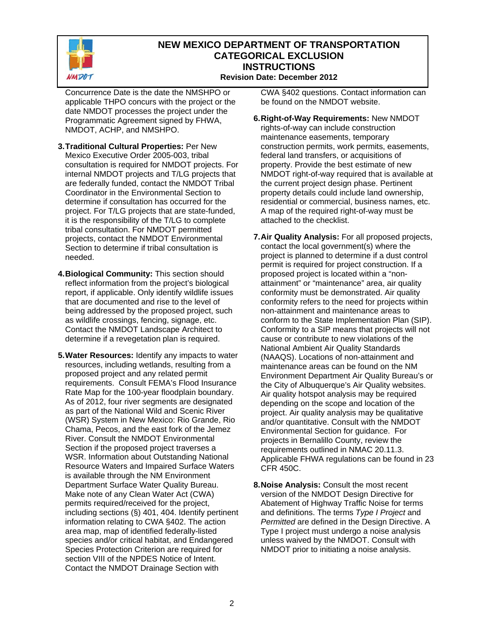

#### **NEW MEXICO DEPARTMENT OF TRANSPORTATION CATEGORICAL EXCLUSION INSTRUCTIONS Revision Date: December 2012**

Concurrence Date is the date the NMSHPO or applicable THPO concurs with the project or the date NMDOT processes the project under the Programmatic Agreement signed by FHWA, NMDOT, ACHP, and NMSHPO.

- **3. Traditional Cultural Properties:** Per New Mexico Executive Order 2005-003, tribal consultation is required for NMDOT projects. For internal NMDOT projects and T/LG projects that are federally funded, contact the NMDOT Tribal Coordinator in the Environmental Section to determine if consultation has occurred for the project. For T/LG projects that are state-funded, it is the responsibility of the T/LG to complete tribal consultation. For NMDOT permitted projects, contact the NMDOT Environmental Section to determine if tribal consultation is needed.
- **4. Biological Community:** This section should reflect information from the project's biological report, if applicable. Only identify wildlife issues that are documented and rise to the level of being addressed by the proposed project, such as wildlife crossings, fencing, signage, etc. Contact the NMDOT Landscape Architect to determine if a revegetation plan is required.
- **5. Water Resources:** Identify any impacts to water resources, including wetlands, resulting from a proposed project and any related permit requirements. Consult FEMA's Flood Insurance Rate Map for the 100-year floodplain boundary. As of 2012, four river segments are designated as part of the National Wild and Scenic River (WSR) System in New Mexico: Rio Grande, Rio Chama, Pecos, and the east fork of the Jemez River. Consult the NMDOT Environmental Section if the proposed project traverses a WSR. Information about Outstanding National Resource Waters and Impaired Surface Waters is available through the NM Environment Department Surface Water Quality Bureau. Make note of any Clean Water Act (CWA) permits required/received for the project, including sections (§) 401, 404. Identify pertinent information relating to CWA §402. The action area map, map of identified federally-listed species and/or critical habitat, and Endangered Species Protection Criterion are required for section VIII of the NPDES Notice of Intent. Contact the NMDOT Drainage Section with

CWA §402 questions. Contact information can be found on the NMDOT website.

- **6. Right-of-Way Requirements:** New NMDOT rights-of-way can include construction maintenance easements, temporary construction permits, work permits, easements, federal land transfers, or acquisitions of property. Provide the best estimate of new NMDOT right-of-way required that is available at the current project design phase. Pertinent property details could include land ownership, residential or commercial, business names, etc. A map of the required right-of-way must be attached to the checklist.
- **7. Air Quality Analysis:** For all proposed projects, contact the local government(s) where the project is planned to determine if a dust control permit is required for project construction. If a proposed project is located within a "nonattainment" or "maintenance" area, air quality conformity must be demonstrated. Air quality conformity refers to the need for projects within non-attainment and maintenance areas to conform to the State Implementation Plan (SIP). Conformity to a SIP means that projects will not cause or contribute to new violations of the National Ambient Air Quality Standards (NAAQS). Locations of non-attainment and maintenance areas can be found on the NM Environment Department Air Quality Bureau's or the City of Albuquerque's Air Quality websites. Air quality hotspot analysis may be required depending on the scope and location of the project. Air quality analysis may be qualitative and/or quantitative. Consult with the NMDOT Environmental Section for guidance. For projects in Bernalillo County, review the requirements outlined in NMAC 20.11.3. Applicable FHWA regulations can be found in 23 CFR 450C.
- **8. Noise Analysis:** Consult the most recent version of the NMDOT Design Directive for Abatement of Highway Traffic Noise for terms and definitions. The terms *Type I Project* and *Permitted* are defined in the Design Directive. A Type I project must undergo a noise analysis unless waived by the NMDOT. Consult with NMDOT prior to initiating a noise analysis.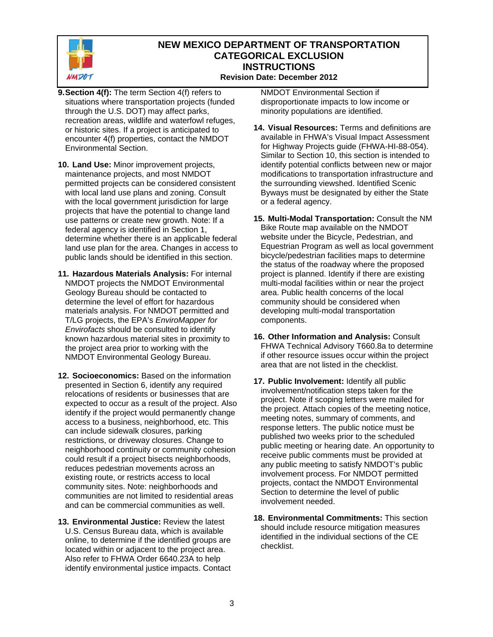

#### **NEW MEXICO DEPARTMENT OF TRANSPORTATION CATEGORICAL EXCLUSION INSTRUCTIONS Revision Date: December 2012**

- **9. Section 4(f):** The term Section 4(f) refers to situations where transportation projects (funded through the U.S. DOT) may affect parks, recreation areas, wildlife and waterfowl refuges, or historic sites. If a project is anticipated to encounter 4(f) properties, contact the NMDOT Environmental Section.
- **10. Land Use:** Minor improvement projects, maintenance projects, and most NMDOT permitted projects can be considered consistent with local land use plans and zoning. Consult with the local government jurisdiction for large projects that have the potential to change land use patterns or create new growth. Note: If a federal agency is identified in Section 1, determine whether there is an applicable federal land use plan for the area. Changes in access to public lands should be identified in this section.
- **11. Hazardous Materials Analysis:** For internal NMDOT projects the NMDOT Environmental Geology Bureau should be contacted to determine the level of effort for hazardous materials analysis. For NMDOT permitted and T/LG projects, the EPA's *EnviroMapper for Envirofacts* should be consulted to identify known hazardous material sites in proximity to the project area prior to working with the NMDOT Environmental Geology Bureau.
- **12. Socioeconomics:** Based on the information presented in Section 6, identify any required relocations of residents or businesses that are expected to occur as a result of the project. Also identify if the project would permanently change access to a business, neighborhood, etc. This can include sidewalk closures, parking restrictions, or driveway closures. Change to neighborhood continuity or community cohesion could result if a project bisects neighborhoods, reduces pedestrian movements across an existing route, or restricts access to local community sites. Note: neighborhoods and communities are not limited to residential areas and can be commercial communities as well.
- **13. Environmental Justice:** Review the latest U.S. Census Bureau data, which is available online, to determine if the identified groups are located within or adjacent to the project area. Also refer to FHWA Order 6640.23A to help identify environmental justice impacts. Contact

NMDOT Environmental Section if disproportionate impacts to low income or minority populations are identified.

- **14. Visual Resources:** Terms and definitions are available in FHWA's Visual Impact Assessment for Highway Projects guide (FHWA-HI-88-054). Similar to Section 10, this section is intended to identify potential conflicts between new or major modifications to transportation infrastructure and the surrounding viewshed. Identified Scenic Byways must be designated by either the State or a federal agency.
- **15. Multi-Modal Transportation:** Consult the NM Bike Route map available on the NMDOT website under the Bicycle, Pedestrian, and Equestrian Program as well as local government bicycle/pedestrian facilities maps to determine the status of the roadway where the proposed project is planned. Identify if there are existing multi-modal facilities within or near the project area. Public health concerns of the local community should be considered when developing multi-modal transportation components.
- **16. Other Information and Analysis:** Consult FHWA Technical Advisory T660.8a to determine if other resource issues occur within the project area that are not listed in the checklist.
- **17. Public Involvement:** Identify all public involvement/notification steps taken for the project. Note if scoping letters were mailed for the project. Attach copies of the meeting notice, meeting notes, summary of comments, and response letters. The public notice must be published two weeks prior to the scheduled public meeting or hearing date. An opportunity to receive public comments must be provided at any public meeting to satisfy NMDOT's public involvement process. For NMDOT permitted projects, contact the NMDOT Environmental Section to determine the level of public involvement needed.
- **18. Environmental Commitments:** This section should include resource mitigation measures identified in the individual sections of the CE checklist.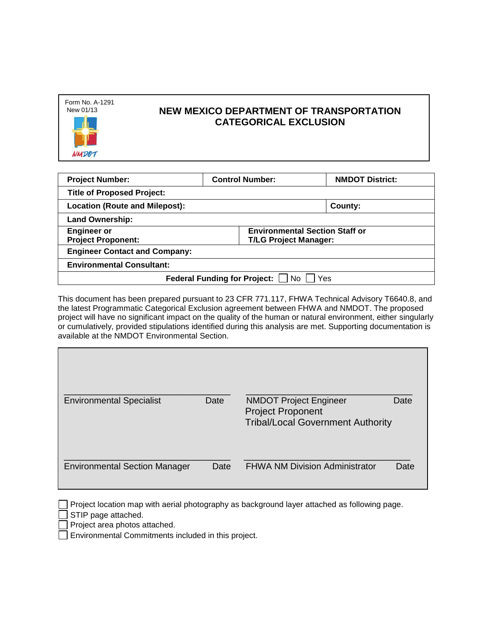| Form No. A-1291<br>New 01/13 |
|------------------------------|
|                              |
|                              |
| <b>NMDO7</b>                 |

| <b>Project Number:</b>                           | <b>Control Number:</b>                | <b>NMDOT District:</b> |
|--------------------------------------------------|---------------------------------------|------------------------|
| <b>Title of Proposed Project:</b>                |                                       |                        |
| <b>Location (Route and Milepost):</b>            | County:                               |                        |
| <b>Land Ownership:</b>                           |                                       |                        |
| <b>Engineer or</b>                               | <b>Environmental Section Staff or</b> |                        |
| <b>Project Proponent:</b>                        | <b>T/LG Project Manager:</b>          |                        |
| <b>Engineer Contact and Company:</b>             |                                       |                        |
| <b>Environmental Consultant:</b>                 |                                       |                        |
| Yes<br><b>Federal Funding for Project:</b><br>No |                                       |                        |

This document has been prepared pursuant to 23 CFR 771.117, FHWA Technical Advisory T6640.8, and the latest Programmatic Categorical Exclusion agreement between FHWA and NMDOT. The proposed project will have no significant impact on the quality of the human or natural environment, either singularly or cumulatively, provided stipulations identified during this analysis are met. Supporting documentation is available at the NMDOT Environmental Section.

| <b>Environmental Specialist</b>      | Date | <b>NMDOT Project Engineer</b><br>Date<br><b>Project Proponent</b><br><b>Tribal/Local Government Authority</b> |
|--------------------------------------|------|---------------------------------------------------------------------------------------------------------------|
| <b>Environmental Section Manager</b> | Date | <b>FHWA NM Division Administrator</b><br>Date                                                                 |

 $\Box$  Project location map with aerial photography as background layer attached as following page.

STIP page attached.

Project area photos attached.

Environmental Commitments included in this project.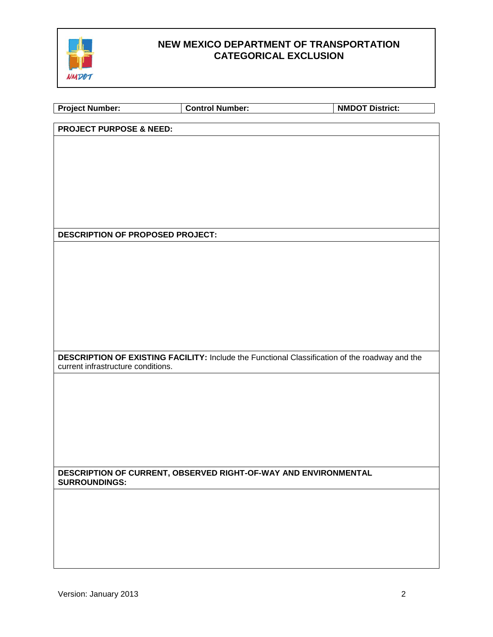

| <b>Project Number:</b>                  | <b>Control Number:</b>                                                                         | <b>NMDOT District:</b> |
|-----------------------------------------|------------------------------------------------------------------------------------------------|------------------------|
| <b>PROJECT PURPOSE &amp; NEED:</b>      |                                                                                                |                        |
|                                         |                                                                                                |                        |
|                                         |                                                                                                |                        |
|                                         |                                                                                                |                        |
|                                         |                                                                                                |                        |
|                                         |                                                                                                |                        |
|                                         |                                                                                                |                        |
| <b>DESCRIPTION OF PROPOSED PROJECT:</b> |                                                                                                |                        |
|                                         |                                                                                                |                        |
|                                         |                                                                                                |                        |
|                                         |                                                                                                |                        |
|                                         |                                                                                                |                        |
|                                         |                                                                                                |                        |
|                                         |                                                                                                |                        |
| current infrastructure conditions.      | DESCRIPTION OF EXISTING FACILITY: Include the Functional Classification of the roadway and the |                        |
|                                         |                                                                                                |                        |
|                                         |                                                                                                |                        |
|                                         |                                                                                                |                        |
|                                         |                                                                                                |                        |
|                                         |                                                                                                |                        |
|                                         |                                                                                                |                        |
| <b>SURROUNDINGS:</b>                    | DESCRIPTION OF CURRENT, OBSERVED RIGHT-OF-WAY AND ENVIRONMENTAL                                |                        |
|                                         |                                                                                                |                        |
|                                         |                                                                                                |                        |
|                                         |                                                                                                |                        |
|                                         |                                                                                                |                        |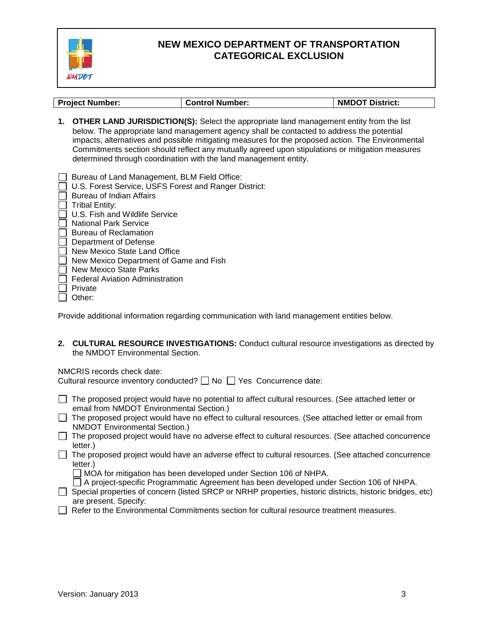

| <b>Project Number:</b>                                         | <b>Control Number:</b>                                                                                                                                                                                                                                                                                                                                                                                                                                              | <b>NMDOT District:</b> |
|----------------------------------------------------------------|---------------------------------------------------------------------------------------------------------------------------------------------------------------------------------------------------------------------------------------------------------------------------------------------------------------------------------------------------------------------------------------------------------------------------------------------------------------------|------------------------|
|                                                                | 1. OTHER LAND JURISDICTION(S): Select the appropriate land management entity from the list<br>below. The appropriate land management agency shall be contacted to address the potential<br>impacts, alternatives and possible mitigating measures for the proposed action. The Environmental<br>Commitments section should reflect any mutually agreed upon stipulations or mitigation measures<br>determined through coordination with the land management entity. |                        |
| Bureau of Land Management, BLM Field Office:                   |                                                                                                                                                                                                                                                                                                                                                                                                                                                                     |                        |
| U.S. Forest Service, USFS Forest and Ranger District:          |                                                                                                                                                                                                                                                                                                                                                                                                                                                                     |                        |
| Bureau of Indian Affairs                                       |                                                                                                                                                                                                                                                                                                                                                                                                                                                                     |                        |
| <b>Tribal Entity:</b>                                          |                                                                                                                                                                                                                                                                                                                                                                                                                                                                     |                        |
| U.S. Fish and Wildlife Service<br><b>National Park Service</b> |                                                                                                                                                                                                                                                                                                                                                                                                                                                                     |                        |
| <b>Bureau of Reclamation</b>                                   |                                                                                                                                                                                                                                                                                                                                                                                                                                                                     |                        |
| Department of Defense                                          |                                                                                                                                                                                                                                                                                                                                                                                                                                                                     |                        |
| New Mexico State Land Office                                   |                                                                                                                                                                                                                                                                                                                                                                                                                                                                     |                        |
| New Mexico Department of Game and Fish                         |                                                                                                                                                                                                                                                                                                                                                                                                                                                                     |                        |
| New Mexico State Parks                                         |                                                                                                                                                                                                                                                                                                                                                                                                                                                                     |                        |
| <b>Federal Aviation Administration</b>                         |                                                                                                                                                                                                                                                                                                                                                                                                                                                                     |                        |
| Private<br>Other:                                              |                                                                                                                                                                                                                                                                                                                                                                                                                                                                     |                        |
|                                                                |                                                                                                                                                                                                                                                                                                                                                                                                                                                                     |                        |
|                                                                | Provide additional information regarding communication with land management entities below.                                                                                                                                                                                                                                                                                                                                                                         |                        |

**2. CULTURAL RESOURCE INVESTIGATIONS:** Conduct cultural resource investigations as directed by the NMDOT Environmental Section.

#### NMCRIS records check date:

Cultural resource inventory conducted?  $\Box$  No  $\Box$  Yes Concurrence date:

- $\Box$  The proposed project would have no potential to affect cultural resources. (See attached letter or email from NMDOT Environmental Section.)
- The proposed project would have no effect to cultural resources. (See attached letter or email from NMDOT Environmental Section.)
- $\Box$  The proposed project would have no adverse effect to cultural resources. (See attached concurrence letter.)
- $\Box$  The proposed project would have an adverse effect to cultural resources. (See attached concurrence letter.)

 $\Box$  MOA for mitigation has been developed under Section 106 of NHPA.

A project-specific Programmatic Agreement has been developed under Section 106 of NHPA.

- □ Special properties of concern (listed SRCP or NRHP properties, historic districts, historic bridges, etc) are present. Specify:
- □ Refer to the Environmental Commitments section for cultural resource treatment measures.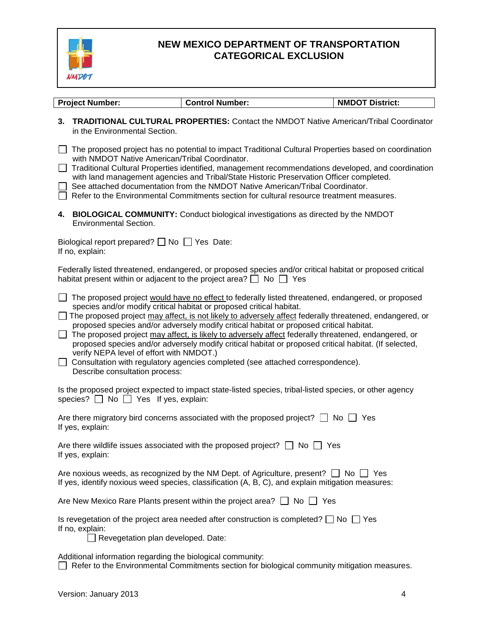

| <b>Project Number:</b>                                                               | <b>Control Number:</b>                                                                                                                                                                                                                                                                                                                                                                                                                                                                                                                                                                                                                                                              | <b>NMDOT District:</b> |
|--------------------------------------------------------------------------------------|-------------------------------------------------------------------------------------------------------------------------------------------------------------------------------------------------------------------------------------------------------------------------------------------------------------------------------------------------------------------------------------------------------------------------------------------------------------------------------------------------------------------------------------------------------------------------------------------------------------------------------------------------------------------------------------|------------------------|
|                                                                                      |                                                                                                                                                                                                                                                                                                                                                                                                                                                                                                                                                                                                                                                                                     |                        |
| 3.<br>in the Environmental Section.                                                  | <b>TRADITIONAL CULTURAL PROPERTIES:</b> Contact the NMDOT Native American/Tribal Coordinator                                                                                                                                                                                                                                                                                                                                                                                                                                                                                                                                                                                        |                        |
| with NMDOT Native American/Tribal Coordinator.                                       | The proposed project has no potential to impact Traditional Cultural Properties based on coordination<br>Traditional Cultural Properties identified, management recommendations developed, and coordination                                                                                                                                                                                                                                                                                                                                                                                                                                                                         |                        |
|                                                                                      | with land management agencies and Tribal/State Historic Preservation Officer completed.<br>See attached documentation from the NMDOT Native American/Tribal Coordinator.<br>Refer to the Environmental Commitments section for cultural resource treatment measures.                                                                                                                                                                                                                                                                                                                                                                                                                |                        |
| <b>Environmental Section.</b>                                                        | 4. BIOLOGICAL COMMUNITY: Conduct biological investigations as directed by the NMDOT                                                                                                                                                                                                                                                                                                                                                                                                                                                                                                                                                                                                 |                        |
| Biological report prepared? $\Box$ No $\Box$ Yes Date:<br>If no, explain:            |                                                                                                                                                                                                                                                                                                                                                                                                                                                                                                                                                                                                                                                                                     |                        |
|                                                                                      | Federally listed threatened, endangered, or proposed species and/or critical habitat or proposed critical<br>habitat present within or adjacent to the project area? $\Box$ No $\Box$ Yes                                                                                                                                                                                                                                                                                                                                                                                                                                                                                           |                        |
| verify NEPA level of effort with NMDOT.)<br>$\Box$<br>Describe consultation process: | The proposed project would have no effect to federally listed threatened, endangered, or proposed<br>species and/or modify critical habitat or proposed critical habitat.<br>□ The proposed project may affect, is not likely to adversely affect federally threatened, endangered, or<br>proposed species and/or adversely modify critical habitat or proposed critical habitat.<br>The proposed project may affect, is likely to adversely affect federally threatened, endangered, or<br>proposed species and/or adversely modify critical habitat or proposed critical habitat. (If selected,<br>Consultation with regulatory agencies completed (see attached correspondence). |                        |
| species? $\Box$ No $\Box$ Yes If yes, explain:                                       | Is the proposed project expected to impact state-listed species, tribal-listed species, or other agency                                                                                                                                                                                                                                                                                                                                                                                                                                                                                                                                                                             |                        |
| If yes, explain:                                                                     | Are there migratory bird concerns associated with the proposed project? $\Box$ No $\Box$ Yes                                                                                                                                                                                                                                                                                                                                                                                                                                                                                                                                                                                        |                        |
| If yes, explain:                                                                     | Are there wildlife issues associated with the proposed project? $\Box$ No $\Box$ Yes                                                                                                                                                                                                                                                                                                                                                                                                                                                                                                                                                                                                |                        |
|                                                                                      | Are noxious weeds, as recognized by the NM Dept. of Agriculture, present? $\Box$ No<br>If yes, identify noxious weed species, classification (A, B, C), and explain mitigation measures:                                                                                                                                                                                                                                                                                                                                                                                                                                                                                            | ∣ Yes                  |
|                                                                                      | Are New Mexico Rare Plants present within the project area? $\Box$ No $\Box$<br>Yes                                                                                                                                                                                                                                                                                                                                                                                                                                                                                                                                                                                                 |                        |
| If no, explain:<br>Revegetation plan developed. Date:                                | Is revegetation of the project area needed after construction is completed? $\Box$ No $\Box$ Yes                                                                                                                                                                                                                                                                                                                                                                                                                                                                                                                                                                                    |                        |
| Additional information regarding the biological community:                           | Refer to the Environmental Commitments section for biological community mitigation measures.                                                                                                                                                                                                                                                                                                                                                                                                                                                                                                                                                                                        |                        |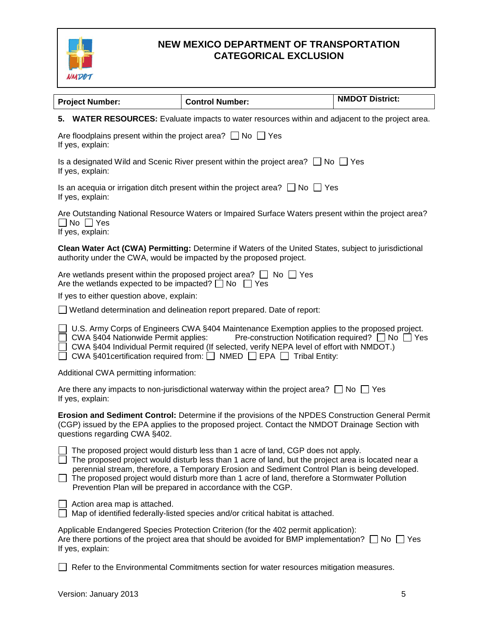

|                                                                                                             |                                                                                                                                                                                                                                                                                                                                                                                                                                                                          | <b>NMDOT District:</b> |
|-------------------------------------------------------------------------------------------------------------|--------------------------------------------------------------------------------------------------------------------------------------------------------------------------------------------------------------------------------------------------------------------------------------------------------------------------------------------------------------------------------------------------------------------------------------------------------------------------|------------------------|
| <b>Project Number:</b>                                                                                      | <b>Control Number:</b>                                                                                                                                                                                                                                                                                                                                                                                                                                                   |                        |
|                                                                                                             | 5. WATER RESOURCES: Evaluate impacts to water resources within and adjacent to the project area.                                                                                                                                                                                                                                                                                                                                                                         |                        |
| Are floodplains present within the project area? $\Box$ No $\Box$ Yes<br>If yes, explain:                   |                                                                                                                                                                                                                                                                                                                                                                                                                                                                          |                        |
| If yes, explain:                                                                                            | Is a designated Wild and Scenic River present within the project area? $\Box$ No $\Box$ Yes                                                                                                                                                                                                                                                                                                                                                                              |                        |
| If yes, explain:                                                                                            | Is an acequia or irrigation ditch present within the project area? $\Box$ No $\Box$ Yes                                                                                                                                                                                                                                                                                                                                                                                  |                        |
| $\Box$ No $\Box$ Yes<br>If yes, explain:                                                                    | Are Outstanding National Resource Waters or Impaired Surface Waters present within the project area?                                                                                                                                                                                                                                                                                                                                                                     |                        |
|                                                                                                             | Clean Water Act (CWA) Permitting: Determine if Waters of the United States, subject to jurisdictional<br>authority under the CWA, would be impacted by the proposed project.                                                                                                                                                                                                                                                                                             |                        |
| Are the wetlands expected to be impacted? $\Box$ No $\Box$ Yes<br>If yes to either question above, explain: | Are wetlands present within the proposed project area? $\Box$ No $\Box$ Yes                                                                                                                                                                                                                                                                                                                                                                                              |                        |
|                                                                                                             | $\Box$ Wetland determination and delineation report prepared. Date of report:                                                                                                                                                                                                                                                                                                                                                                                            |                        |
| CWA §404 Nationwide Permit applies:                                                                         | U.S. Army Corps of Engineers CWA §404 Maintenance Exemption applies to the proposed project.<br>Pre-construction Notification required? $\Box$ No $\Box$ Yes<br>CWA §404 Individual Permit required (If selected, verify NEPA level of effort with NMDOT.)<br>CWA §401 certification required from: $\Box$ NMED $\Box$ EPA $\Box$ Tribal Entity:                                                                                                                         |                        |
| Additional CWA permitting information:                                                                      |                                                                                                                                                                                                                                                                                                                                                                                                                                                                          |                        |
| If yes, explain:                                                                                            | Are there any impacts to non-jurisdictional waterway within the project area? $\Box$ No $\Box$ Yes                                                                                                                                                                                                                                                                                                                                                                       |                        |
| questions regarding CWA §402.                                                                               | Erosion and Sediment Control: Determine if the provisions of the NPDES Construction General Permit<br>(CGP) issued by the EPA applies to the proposed project. Contact the NMDOT Drainage Section with                                                                                                                                                                                                                                                                   |                        |
|                                                                                                             | $\Box$ The proposed project would disturb less than 1 acre of land, CGP does not apply.<br>The proposed project would disturb less than 1 acre of land, but the project area is located near a<br>perennial stream, therefore, a Temporary Erosion and Sediment Control Plan is being developed.<br>$\Box$ The proposed project would disturb more than 1 acre of land, therefore a Stormwater Pollution<br>Prevention Plan will be prepared in accordance with the CGP. |                        |
| Action area map is attached.                                                                                | Map of identified federally-listed species and/or critical habitat is attached.                                                                                                                                                                                                                                                                                                                                                                                          |                        |
| If yes, explain:                                                                                            | Applicable Endangered Species Protection Criterion (for the 402 permit application):<br>Are there portions of the project area that should be avoided for BMP implementation? $\Box$ No $\Box$ Yes                                                                                                                                                                                                                                                                       |                        |
|                                                                                                             | Refer to the Environmental Commitments section for water resources mitigation measures.                                                                                                                                                                                                                                                                                                                                                                                  |                        |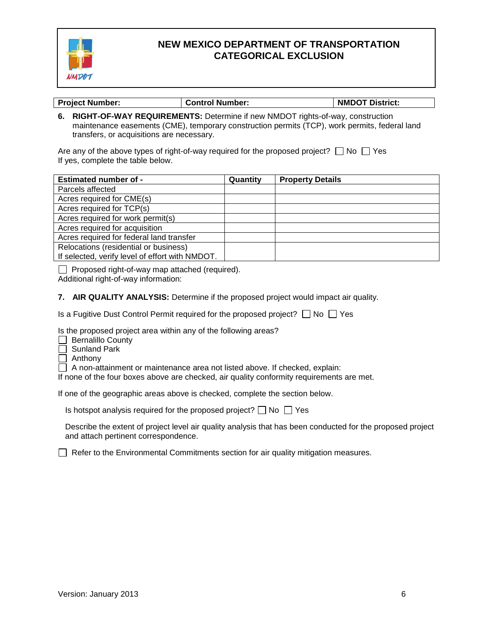

| <b>Project Number:</b> | ⊩ Control Number: | <b>NMDOT District:</b> |
|------------------------|-------------------|------------------------|

**6. RIGHT-OF-WAY REQUIREMENTS:** Determine if new NMDOT rights-of-way, construction maintenance easements (CME), temporary construction permits (TCP), work permits, federal land transfers, or acquisitions are necessary.

Are any of the above types of right-of-way required for the proposed project?  $\Box$  No  $\Box$  Yes If yes, complete the table below.

| <b>Estimated number of -</b>                    | Quantity | <b>Property Details</b> |
|-------------------------------------------------|----------|-------------------------|
| Parcels affected                                |          |                         |
| Acres required for CME(s)                       |          |                         |
| Acres required for TCP(s)                       |          |                         |
| Acres required for work permit(s)               |          |                         |
| Acres required for acquisition                  |          |                         |
| Acres required for federal land transfer        |          |                         |
| Relocations (residential or business)           |          |                         |
| If selected, verify level of effort with NMDOT. |          |                         |

 $\Box$  Proposed right-of-way map attached (required).

Additional right-of-way information:

**7. AIR QUALITY ANALYSIS:** Determine if the proposed project would impact air quality.

Is a Fugitive Dust Control Permit required for the proposed project?  $\Box$  No  $\Box$  Yes

Is the proposed project area within any of the following areas?

Bernalillo County

Sunland Park

Anthony

A non-attainment or maintenance area not listed above. If checked, explain:

If none of the four boxes above are checked, air quality conformity requirements are met.

If one of the geographic areas above is checked, complete the section below.

Is hotspot analysis required for the proposed project?  $\Box$  No  $\Box$  Yes

Describe the extent of project level air quality analysis that has been conducted for the proposed project and attach pertinent correspondence.

 $\Box$  Refer to the Environmental Commitments section for air quality mitigation measures.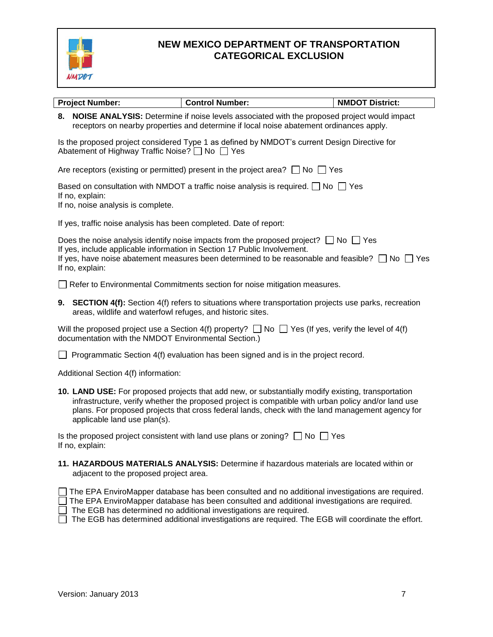

| <b>Project Number:</b>                                             | <b>Control Number:</b>                                                                                                                                                                                                                                                                                        | <b>NMDOT District:</b> |
|--------------------------------------------------------------------|---------------------------------------------------------------------------------------------------------------------------------------------------------------------------------------------------------------------------------------------------------------------------------------------------------------|------------------------|
|                                                                    | 8. NOISE ANALYSIS: Determine if noise levels associated with the proposed project would impact<br>receptors on nearby properties and determine if local noise abatement ordinances apply.                                                                                                                     |                        |
| Abatement of Highway Traffic Noise? [ No   Yes                     | Is the proposed project considered Type 1 as defined by NMDOT's current Design Directive for                                                                                                                                                                                                                  |                        |
|                                                                    | Are receptors (existing or permitted) present in the project area? $\Box$ No $\Box$ Yes                                                                                                                                                                                                                       |                        |
| If no, explain:<br>If no, noise analysis is complete.              | Based on consultation with NMDOT a traffic noise analysis is required. $\Box$ No $\Box$ Yes                                                                                                                                                                                                                   |                        |
| If yes, traffic noise analysis has been completed. Date of report: |                                                                                                                                                                                                                                                                                                               |                        |
| If no, explain:                                                    | Does the noise analysis identify noise impacts from the proposed project? $\Box$ No $\Box$ Yes<br>If yes, include applicable information in Section 17 Public Involvement.<br>If yes, have noise abatement measures been determined to be reasonable and feasible? $\Box$ No $\Box$ Yes                       |                        |
|                                                                    | Refer to Environmental Commitments section for noise mitigation measures.                                                                                                                                                                                                                                     |                        |
| areas, wildlife and waterfowl refuges, and historic sites.         | 9. SECTION 4(f): Section 4(f) refers to situations where transportation projects use parks, recreation                                                                                                                                                                                                        |                        |
| documentation with the NMDOT Environmental Section.)               | Will the proposed project use a Section 4(f) property? $\Box$ No $\Box$ Yes (If yes, verify the level of 4(f)                                                                                                                                                                                                 |                        |
|                                                                    | Programmatic Section 4(f) evaluation has been signed and is in the project record.                                                                                                                                                                                                                            |                        |
| Additional Section 4(f) information:                               |                                                                                                                                                                                                                                                                                                               |                        |
| applicable land use plan(s).                                       | 10. LAND USE: For proposed projects that add new, or substantially modify existing, transportation<br>infrastructure, verify whether the proposed project is compatible with urban policy and/or land use<br>plans. For proposed projects that cross federal lands, check with the land management agency for |                        |
| If no, explain:                                                    | Is the proposed project consistent with land use plans or zoning? $\Box$ No $\Box$ Yes                                                                                                                                                                                                                        |                        |
| adjacent to the proposed project area.                             | 11. HAZARDOUS MATERIALS ANALYSIS: Determine if hazardous materials are located within or                                                                                                                                                                                                                      |                        |

The EPA EnviroMapper database has been consulted and no additional investigations are required.  $\sqrt{2}$  The EPA EnviroMapper database has been consulted and additional investigations are required.

The EGB has determined no additional investigations are required.

 $\Box$  The EGB has determined additional investigations are required. The EGB will coordinate the effort.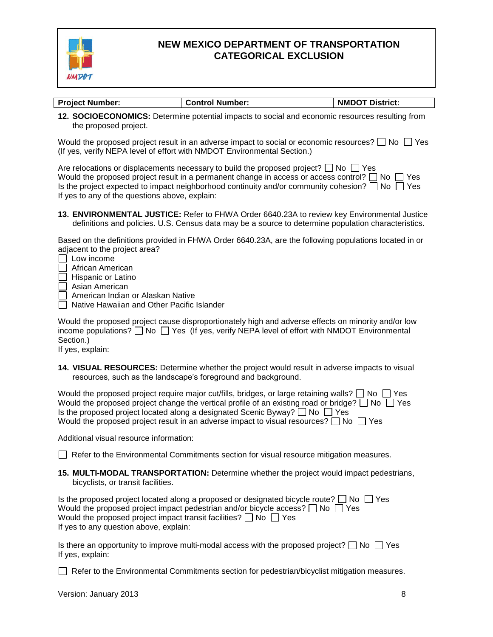

| <b>Project Number:</b> | <b>Control Number:</b> | <b>NMDOT District:</b> |
|------------------------|------------------------|------------------------|

**12. SOCIOECONOMICS:** Determine potential impacts to social and economic resources resulting from the proposed project.

Would the proposed project result in an adverse impact to social or economic resources?  $\Box$  No  $\Box$  Yes (If yes, verify NEPA level of effort with NMDOT Environmental Section.)

| Are relocations or displacements necessary to build the proposed project? $\Box$ No $\Box$ Yes            |
|-----------------------------------------------------------------------------------------------------------|
| Would the proposed project result in a permanent change in access or access control? $\Box$ No $\Box$ Yes |
| Is the project expected to impact neighborhood continuity and/or community cohesion? $\Box$ No $\Box$ Yes |
| If yes to any of the questions above, explain:                                                            |

**13. ENVIRONMENTAL JUSTICE:** Refer to FHWA Order 6640.23A to review key Environmental Justice definitions and policies. U.S. Census data may be a source to determine population characteristics.

Based on the definitions provided in FHWA Order 6640.23A, are the following populations located in or adjacent to the project area?

- Low income
- African American
- Hispanic or Latino
- Asian American
- American Indian or Alaskan Native
- Native Hawaiian and Other Pacific Islander

Would the proposed project cause disproportionately high and adverse effects on minority and/or low income populations?  $\Box$  No  $\Box$  Yes (If yes, verify NEPA level of effort with NMDOT Environmental Section.)

If yes, explain:

**14. VISUAL RESOURCES:** Determine whether the project would result in adverse impacts to visual resources, such as the landscape's foreground and background.

| Would the proposed project require major cut/fills, bridges, or large retaining walls? $\Box$ No $\Box$ Yes |
|-------------------------------------------------------------------------------------------------------------|
| Would the proposed project change the vertical profile of an existing road or bridge? $\Box$ No $\Box$ Yes  |
| Is the proposed project located along a designated Scenic Byway? $\Box$ No $\Box$ Yes                       |
| Would the proposed project result in an adverse impact to visual resources? $\Box$ No $\Box$ Yes            |

Additional visual resource information:

 $\Box$  Refer to the Environmental Commitments section for visual resource mitigation measures.

**15. MULTI-MODAL TRANSPORTATION:** Determine whether the project would impact pedestrians, bicyclists, or transit facilities.

| Is the proposed project located along a proposed or designated bicycle route? $\Box$ No $\Box$ Yes |  |
|----------------------------------------------------------------------------------------------------|--|
| Would the proposed project impact pedestrian and/or bicycle access? $\Box$ No $\Box$ Yes           |  |
| Would the proposed project impact transit facilities? $\Box$ No $\Box$ Yes                         |  |
| If yes to any question above, explain:                                                             |  |

Is there an opportunity to improve multi-modal access with the proposed project?  $\Box$  No  $\Box$  Yes If yes, explain:

 $\Box$  Refer to the Environmental Commitments section for pedestrian/bicyclist mitigation measures.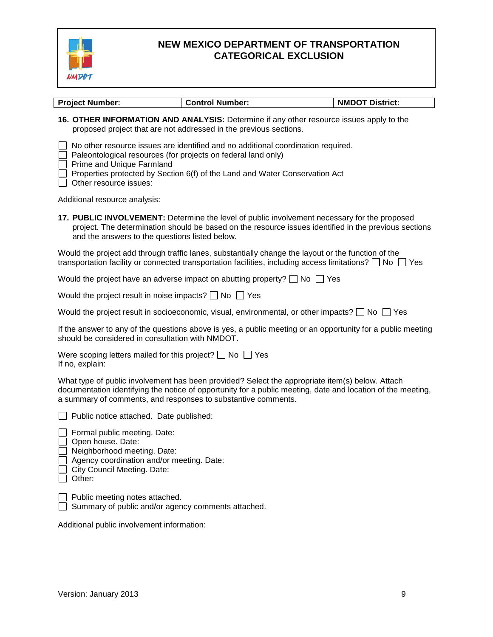

| <b>Project Number:</b>                                                                                                                                                        | <b>Control Number:</b>                                                                                                                                                                                                    | <b>NMDOT District:</b> |
|-------------------------------------------------------------------------------------------------------------------------------------------------------------------------------|---------------------------------------------------------------------------------------------------------------------------------------------------------------------------------------------------------------------------|------------------------|
|                                                                                                                                                                               | 16. OTHER INFORMATION AND ANALYSIS: Determine if any other resource issues apply to the<br>proposed project that are not addressed in the previous sections.                                                              |                        |
| Paleontological resources (for projects on federal land only)<br>Prime and Unique Farmland<br>$\Box$ Other resource issues:                                                   | No other resource issues are identified and no additional coordination required.<br>Properties protected by Section 6(f) of the Land and Water Conservation Act                                                           |                        |
| Additional resource analysis:                                                                                                                                                 |                                                                                                                                                                                                                           |                        |
| and the answers to the questions listed below.                                                                                                                                | 17. PUBLIC INVOLVEMENT: Determine the level of public involvement necessary for the proposed<br>project. The determination should be based on the resource issues identified in the previous sections                     |                        |
|                                                                                                                                                                               | Would the project add through traffic lanes, substantially change the layout or the function of the<br>transportation facility or connected transportation facilities, including access limitations? $\Box$ No $\Box$ Yes |                        |
|                                                                                                                                                                               | Would the project have an adverse impact on abutting property? $\Box$ No $\Box$ Yes                                                                                                                                       |                        |
| Would the project result in noise impacts? $\Box$ No $\Box$ Yes                                                                                                               |                                                                                                                                                                                                                           |                        |
|                                                                                                                                                                               | Would the project result in socioeconomic, visual, environmental, or other impacts? $\square$ No $\square$ Yes                                                                                                            |                        |
| should be considered in consultation with NMDOT.                                                                                                                              | If the answer to any of the questions above is yes, a public meeting or an opportunity for a public meeting                                                                                                               |                        |
| Were scoping letters mailed for this project? $\Box$ No $\Box$ Yes<br>If no, explain:                                                                                         |                                                                                                                                                                                                                           |                        |
| a summary of comments, and responses to substantive comments.                                                                                                                 | What type of public involvement has been provided? Select the appropriate item(s) below. Attach<br>documentation identifying the notice of opportunity for a public meeting, date and location of the meeting,            |                        |
| Public notice attached. Date published:                                                                                                                                       |                                                                                                                                                                                                                           |                        |
| Formal public meeting. Date:<br>Open house. Date:<br>Neighborhood meeting. Date:<br>Agency coordination and/or meeting. Date:<br><b>City Council Meeting. Date:</b><br>Other: |                                                                                                                                                                                                                           |                        |

Public meeting notes attached.

Summary of public and/or agency comments attached.

Additional public involvement information: